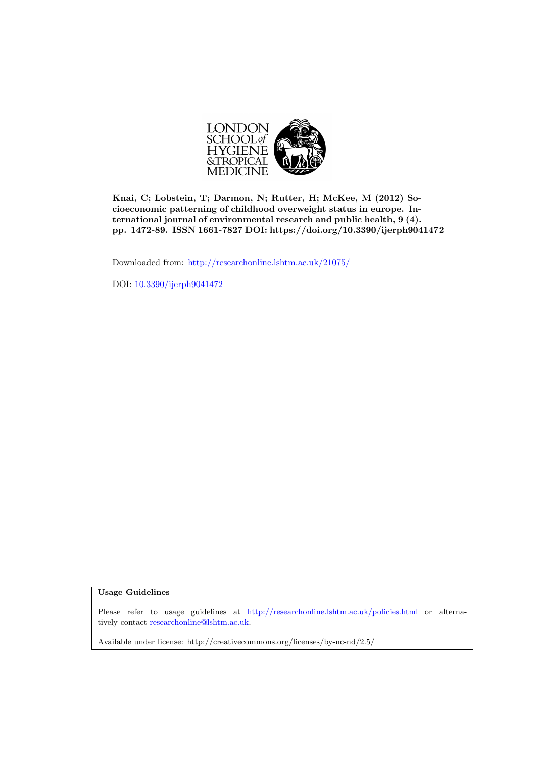

Knai, C; Lobstein, T; Darmon, N; Rutter, H; McKee, M (2012) Socioeconomic patterning of childhood overweight status in europe. International journal of environmental research and public health, 9 (4). pp. 1472-89. ISSN 1661-7827 DOI: https://doi.org/10.3390/ijerph9041472

Downloaded from: <http://researchonline.lshtm.ac.uk/21075/>

DOI: [10.3390/ijerph9041472](http://dx.doi.org/10.3390/ijerph9041472)

Usage Guidelines

Please refer to usage guidelines at <http://researchonline.lshtm.ac.uk/policies.html> or alternatively contact [researchonline@lshtm.ac.uk.](mailto:researchonline@lshtm.ac.uk)

Available under license: http://creativecommons.org/licenses/by-nc-nd/2.5/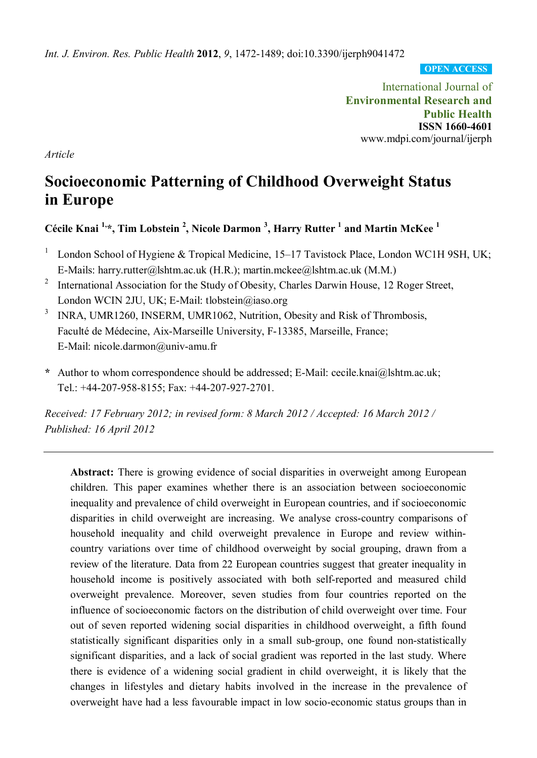*Int. J. Environ. Res. Public Health* **2012**, *9*, 1472-1489; doi:10.3390/ijerph9041472

**OPEN ACCESS**

International Journal of **Environmental Research and Public Health ISSN 1660-4601** www.mdpi.com/journal/ijerph

*Article*

# **Socioeconomic Patterning of Childhood Overweight Status in Europe**

**Cécile Knai 1,\*, Tim Lobstein 2 , Nicole Darmon <sup>3</sup> , Harry Rutter <sup>1</sup> and Martin McKee <sup>1</sup>**

- <sup>1</sup> London School of Hygiene & Tropical Medicine, 15–17 Tavistock Place, London WC1H 9SH, UK; E-Mails: harry.rutter@lshtm.ac.uk (H.R.); martin.mckee@lshtm.ac.uk (M.M.)
- <sup>2</sup> International Association for the Study of Obesity, Charles Darwin House, 12 Roger Street, London WCIN 2JU, UK; E-Mail: tlobstein@iaso.org
- <sup>3</sup> INRA, UMR1260, INSERM, UMR1062, Nutrition, Obesity and Risk of Thrombosis, Faculté de Médecine, Aix-Marseille University, F-13385, Marseille, France; E-Mail: nicole.darmon@univ-amu.fr
- **\*** Author to whom correspondence should be addressed; E-Mail: cecile.knai@lshtm.ac.uk; Tel.: +44-207-958-8155; Fax: +44-207-927-2701.

*Received: 17 February 2012; in revised form: 8 March 2012 / Accepted: 16 March 2012 / Published: 16 April 2012*

**Abstract:** There is growing evidence of social disparities in overweight among European children. This paper examines whether there is an association between socioeconomic inequality and prevalence of child overweight in European countries, and if socioeconomic disparities in child overweight are increasing. We analyse cross-country comparisons of household inequality and child overweight prevalence in Europe and review withincountry variations over time of childhood overweight by social grouping, drawn from a review of the literature. Data from 22 European countries suggest that greater inequality in household income is positively associated with both self-reported and measured child overweight prevalence. Moreover, seven studies from four countries reported on the influence of socioeconomic factors on the distribution of child overweight over time. Four out of seven reported widening social disparities in childhood overweight, a fifth found statistically significant disparities only in a small sub-group, one found non-statistically significant disparities, and a lack of social gradient was reported in the last study. Where there is evidence of a widening social gradient in child overweight, it is likely that the changes in lifestyles and dietary habits involved in the increase in the prevalence of overweight have had a less favourable impact in low socio-economic status groups than in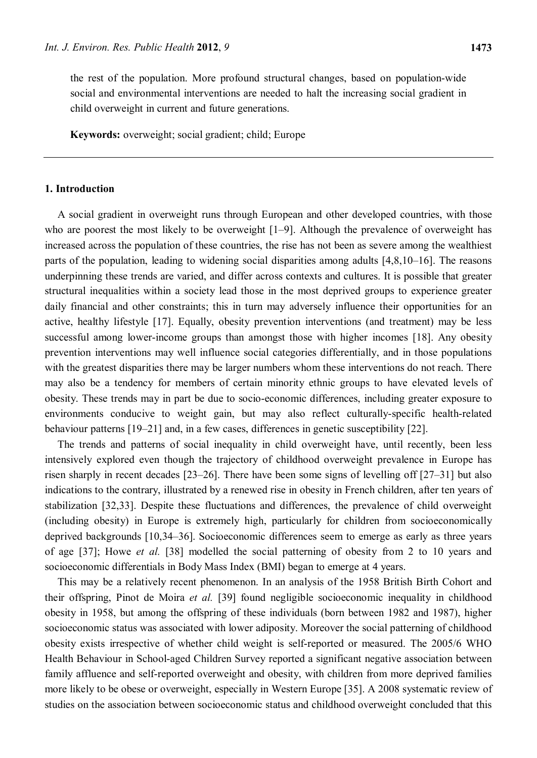the rest of the population. More profound structural changes, based on population-wide social and environmental interventions are needed to halt the increasing social gradient in child overweight in current and future generations.

**Keywords:** overweight; social gradient; child; Europe

## **1. Introduction**

A social gradient in overweight runs through European and other developed countries, with those who are poorest the most likely to be overweight [1–9]. Although the prevalence of overweight has increased across the population of these countries, the rise has not been as severe among the wealthiest parts of the population, leading to widening social disparities among adults [4,8,10–16]. The reasons underpinning these trends are varied, and differ across contexts and cultures. It is possible that greater structural inequalities within a society lead those in the most deprived groups to experience greater daily financial and other constraints; this in turn may adversely influence their opportunities for an active, healthy lifestyle [17]. Equally, obesity prevention interventions (and treatment) may be less successful among lower-income groups than amongst those with higher incomes [18]. Any obesity prevention interventions may well influence social categories differentially, and in those populations with the greatest disparities there may be larger numbers whom these interventions do not reach. There may also be a tendency for members of certain minority ethnic groups to have elevated levels of obesity. These trends may in part be due to socio-economic differences, including greater exposure to environments conducive to weight gain, but may also reflect culturally-specific health-related behaviour patterns [19–21] and, in a few cases, differences in genetic susceptibility [22].

The trends and patterns of social inequality in child overweight have, until recently, been less intensively explored even though the trajectory of childhood overweight prevalence in Europe has risen sharply in recent decades [23–26]. There have been some signs of levelling off [27–31] but also indications to the contrary, illustrated by a renewed rise in obesity in French children, after ten years of stabilization [32,33]. Despite these fluctuations and differences, the prevalence of child overweight (including obesity) in Europe is extremely high, particularly for children from socioeconomically deprived backgrounds [10,34–36]. Socioeconomic differences seem to emerge as early as three years of age [37]; Howe *et al.* [38] modelled the social patterning of obesity from 2 to 10 years and socioeconomic differentials in Body Mass Index (BMI) began to emerge at 4 years.

This may be a relatively recent phenomenon. In an analysis of the 1958 British Birth Cohort and their offspring, Pinot de Moira *et al.* [39] found negligible socioeconomic inequality in childhood obesity in 1958, but among the offspring of these individuals (born between 1982 and 1987), higher socioeconomic status was associated with lower adiposity. Moreover the social patterning of childhood obesity exists irrespective of whether child weight is self-reported or measured. The 2005/6 WHO Health Behaviour in School-aged Children Survey reported a significant negative association between family affluence and self-reported overweight and obesity, with children from more deprived families more likely to be obese or overweight, especially in Western Europe [35]. A 2008 systematic review of studies on the association between socioeconomic status and childhood overweight concluded that this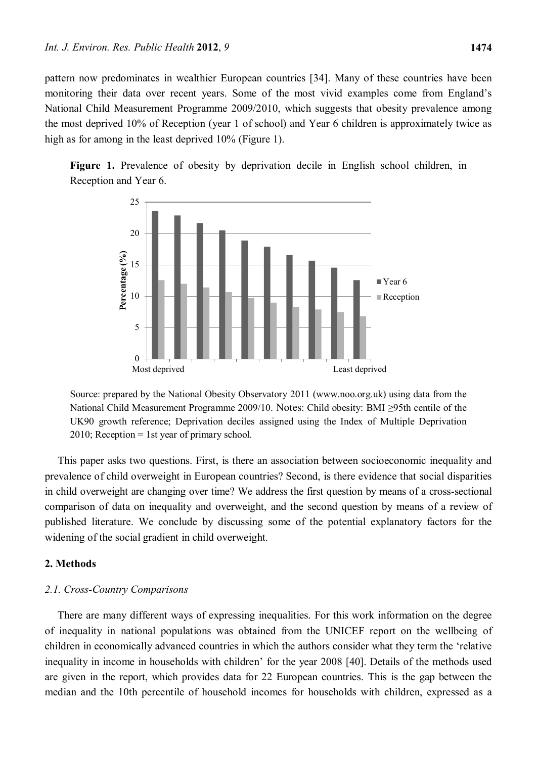pattern now predominates in wealthier European countries [34]. Many of these countries have been monitoring their data over recent years. Some of the most vivid examples come from England's National Child Measurement Programme 2009/2010, which suggests that obesity prevalence among the most deprived 10% of Reception (year 1 of school) and Year 6 children is approximately twice as high as for among in the least deprived  $10\%$  (Figure 1).





Source: prepared by the National Obesity Observatory 2011 (www.noo.org.uk) using data from the National Child Measurement Programme 2009/10. Notes: Child obesity: BMI ≥95th centile of the UK90 growth reference; Deprivation deciles assigned using the Index of Multiple Deprivation 2010; Reception = 1st year of primary school.

This paper asks two questions. First, is there an association between socioeconomic inequality and prevalence of child overweight in European countries? Second, is there evidence that social disparities in child overweight are changing over time? We address the first question by means of a cross-sectional comparison of data on inequality and overweight, and the second question by means of a review of published literature. We conclude by discussing some of the potential explanatory factors for the widening of the social gradient in child overweight.

#### **2. Methods**

## *2.1. Cross-Country Comparisons*

There are many different ways of expressing inequalities. For this work information on the degree of inequality in national populations was obtained from the UNICEF report on the wellbeing of children in economically advanced countries in which the authors consider what they term the 'relative inequality in income in households with children' for the year 2008 [40]. Details of the methods used are given in the report, which provides data for 22 European countries. This is the gap between the median and the 10th percentile of household incomes for households with children, expressed as a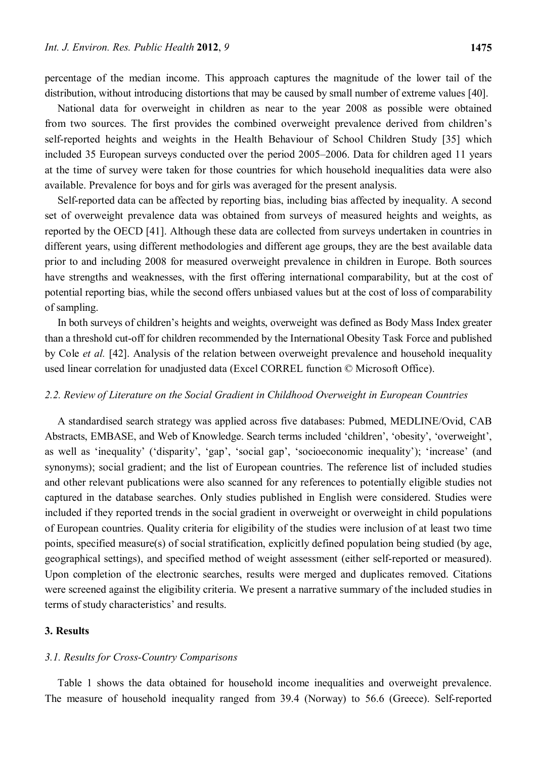percentage of the median income. This approach captures the magnitude of the lower tail of the distribution, without introducing distortions that may be caused by small number of extreme values [40].

National data for overweight in children as near to the year 2008 as possible were obtained from two sources. The first provides the combined overweight prevalence derived from children's self-reported heights and weights in the Health Behaviour of School Children Study [35] which included 35 European surveys conducted over the period 2005–2006. Data for children aged 11 years at the time of survey were taken for those countries for which household inequalities data were also available. Prevalence for boys and for girls was averaged for the present analysis.

Self-reported data can be affected by reporting bias, including bias affected by inequality. A second set of overweight prevalence data was obtained from surveys of measured heights and weights, as reported by the OECD [41]. Although these data are collected from surveys undertaken in countries in different years, using different methodologies and different age groups, they are the best available data prior to and including 2008 for measured overweight prevalence in children in Europe. Both sources have strengths and weaknesses, with the first offering international comparability, but at the cost of potential reporting bias, while the second offers unbiased values but at the cost of loss of comparability of sampling.

In both surveys of children's heights and weights, overweight was defined as Body Mass Index greater than a threshold cut-off for children recommended by the International Obesity Task Force and published by Cole *et al.* [42]. Analysis of the relation between overweight prevalence and household inequality used linear correlation for unadjusted data (Excel CORREL function © Microsoft Office).

## *2.2. Review of Literature on the Social Gradient in Childhood Overweight in European Countries*

A standardised search strategy was applied across five databases: Pubmed, MEDLINE/Ovid, CAB Abstracts, EMBASE, and Web of Knowledge. Search terms included 'children', 'obesity', 'overweight', as well as 'inequality' ('disparity', 'gap', 'social gap', 'socioeconomic inequality'); 'increase' (and synonyms); social gradient; and the list of European countries. The reference list of included studies and other relevant publications were also scanned for any references to potentially eligible studies not captured in the database searches. Only studies published in English were considered. Studies were included if they reported trends in the social gradient in overweight or overweight in child populations of European countries. Quality criteria for eligibility of the studies were inclusion of at least two time points, specified measure(s) of social stratification, explicitly defined population being studied (by age, geographical settings), and specified method of weight assessment (either self-reported or measured). Upon completion of the electronic searches, results were merged and duplicates removed. Citations were screened against the eligibility criteria. We present a narrative summary of the included studies in terms of study characteristics' and results.

# **3. Results**

#### *3.1. Results for Cross-Country Comparisons*

Table 1 shows the data obtained for household income inequalities and overweight prevalence. The measure of household inequality ranged from 39.4 (Norway) to 56.6 (Greece). Self-reported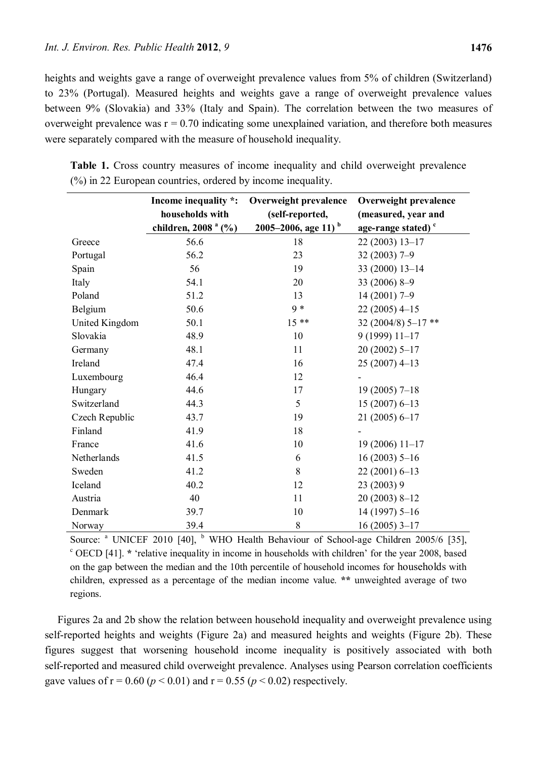heights and weights gave a range of overweight prevalence values from 5% of children (Switzerland) to 23% (Portugal). Measured heights and weights gave a range of overweight prevalence values between 9% (Slovakia) and 33% (Italy and Spain). The correlation between the two measures of overweight prevalence was  $r = 0.70$  indicating some unexplained variation, and therefore both measures were separately compared with the measure of household inequality.

|                | Income inequality *:<br>households with | Overweight prevalence<br>(self-reported, | Overweight prevalence<br>(measured, year and |
|----------------|-----------------------------------------|------------------------------------------|----------------------------------------------|
|                | children, 2008 <sup>a</sup> (%)         | 2005–2006, age 11) $^{\rm b}$            | age-range stated) <sup>c</sup>               |
| Greece         | 56.6                                    | 18                                       | 22 (2003) 13-17                              |
| Portugal       | 56.2                                    | 23                                       | $32(2003)$ 7-9                               |
| Spain          | 56                                      | 19                                       | 33 (2000) 13-14                              |
| Italy          | 54.1                                    | 20                                       | 33 (2006) 8-9                                |
| Poland         | 51.2                                    | 13                                       | $14(2001)$ 7-9                               |
| Belgium        | 50.6                                    | $9 *$                                    | $22(2005)$ 4-15                              |
| United Kingdom | 50.1                                    | $15**$                                   | 32 (2004/8) 5-17**                           |
| Slovakia       | 48.9                                    | 10                                       | $9(1999) 11-17$                              |
| Germany        | 48.1                                    | 11                                       | $20(2002)$ 5-17                              |
| Ireland        | 47.4                                    | 16                                       | $25(2007)$ 4-13                              |
| Luxembourg     | 46.4                                    | 12                                       |                                              |
| Hungary        | 44.6                                    | 17                                       | $19(2005)$ 7-18                              |
| Switzerland    | 44.3                                    | 5                                        | $15(2007)6-13$                               |
| Czech Republic | 43.7                                    | 19                                       | $21(2005) 6 - 17$                            |
| Finland        | 41.9                                    | 18                                       |                                              |
| France         | 41.6                                    | 10                                       | $19(2006) 11-17$                             |
| Netherlands    | 41.5                                    | 6                                        | $16(2003)$ 5-16                              |
| Sweden         | 41.2                                    | 8                                        | $22(2001)6-13$                               |
| Iceland        | 40.2                                    | 12                                       | 23 (2003) 9                                  |
| Austria        | 40                                      | 11                                       | $20(2003)$ 8-12                              |
| Denmark        | 39.7                                    | 10                                       | $14(1997)$ 5-16                              |
| Norway         | 39.4                                    | $\,8\,$                                  | $16(2005)$ 3-17                              |

**Table 1.** Cross country measures of income inequality and child overweight prevalence (%) in 22 European countries, ordered by income inequality.

Source: <sup>a</sup> UNICEF 2010 [40], <sup>b</sup> WHO Health Behaviour of School-age Children 2005/6 [35], <sup>c</sup> OECD [41]. \* 'relative inequality in income in households with children' for the year 2008, based on the gap between the median and the 10th percentile of household incomes for households with children, expressed as a percentage of the median income value. **\*\*** unweighted average of two regions.

Figures 2a and 2b show the relation between household inequality and overweight prevalence using self-reported heights and weights (Figure 2a) and measured heights and weights (Figure 2b). These figures suggest that worsening household income inequality is positively associated with both self-reported and measured child overweight prevalence. Analyses using Pearson correlation coefficients gave values of  $r = 0.60$  ( $p < 0.01$ ) and  $r = 0.55$  ( $p < 0.02$ ) respectively.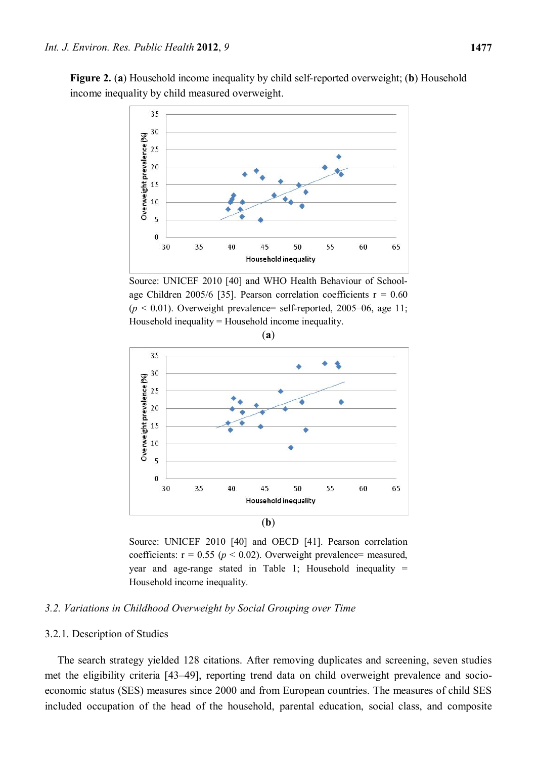**Figure 2.** (**a**) Household income inequality by child self-reported overweight; (**b**) Household income inequality by child measured overweight.



Source: UNICEF 2010 [40] and WHO Health Behaviour of Schoolage Children 2005/6 [35]. Pearson correlation coefficients  $r = 0.60$  $(p < 0.01)$ . Overweight prevalence= self-reported, 2005–06, age 11; Household inequality = Household income inequality.



Source: UNICEF 2010 [40] and OECD [41]. Pearson correlation coefficients:  $r = 0.55$  ( $p < 0.02$ ). Overweight prevalence= measured, year and age-range stated in Table 1; Household inequality  $=$ Household income inequality.

# *3.2. Variations in Childhood Overweight by Social Grouping over Time*

#### 3.2.1. Description of Studies

The search strategy yielded 128 citations. After removing duplicates and screening, seven studies met the eligibility criteria [43–49], reporting trend data on child overweight prevalence and socioeconomic status (SES) measures since 2000 and from European countries. The measures of child SES included occupation of the head of the household, parental education, social class, and composite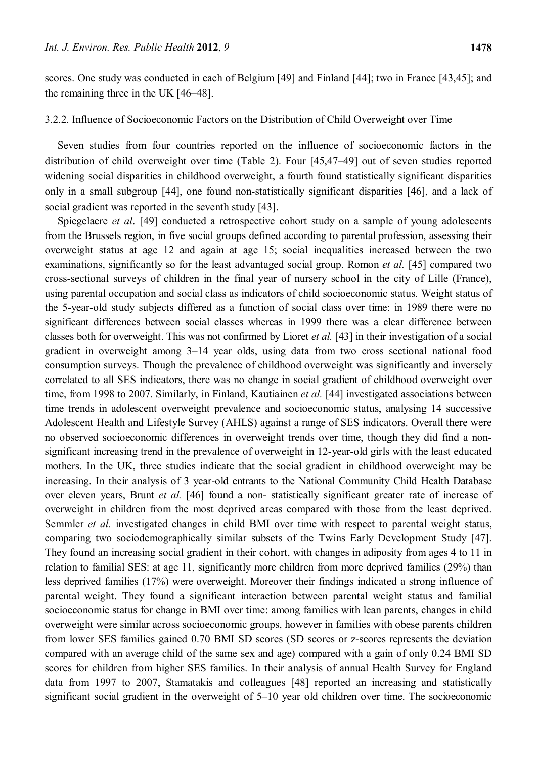scores. One study was conducted in each of Belgium [49] and Finland [44]; two in France [43,45]; and the remaining three in the UK [46–48].

#### 3.2.2. Influence of Socioeconomic Factors on the Distribution of Child Overweight over Time

Seven studies from four countries reported on the influence of socioeconomic factors in the distribution of child overweight over time (Table 2). Four [45,47–49] out of seven studies reported widening social disparities in childhood overweight, a fourth found statistically significant disparities only in a small subgroup [44], one found non-statistically significant disparities [46], and a lack of social gradient was reported in the seventh study [43].

Spiegelaere *et al*. [49] conducted a retrospective cohort study on a sample of young adolescents from the Brussels region, in five social groups defined according to parental profession, assessing their overweight status at age 12 and again at age 15; social inequalities increased between the two examinations, significantly so for the least advantaged social group. Romon *et al.* [45] compared two cross-sectional surveys of children in the final year of nursery school in the city of Lille (France), using parental occupation and social class as indicators of child socioeconomic status. Weight status of the 5-year-old study subjects differed as a function of social class over time: in 1989 there were no significant differences between social classes whereas in 1999 there was a clear difference between classes both for overweight. This was not confirmed by Lioret *et al.* [43] in their investigation of a social gradient in overweight among 3–14 year olds, using data from two cross sectional national food consumption surveys. Though the prevalence of childhood overweight was significantly and inversely correlated to all SES indicators, there was no change in social gradient of childhood overweight over time, from 1998 to 2007. Similarly, in Finland, Kautiainen *et al.* [44] investigated associations between time trends in adolescent overweight prevalence and socioeconomic status, analysing 14 successive Adolescent Health and Lifestyle Survey (AHLS) against a range of SES indicators. Overall there were no observed socioeconomic differences in overweight trends over time, though they did find a nonsignificant increasing trend in the prevalence of overweight in 12-year-old girls with the least educated mothers. In the UK, three studies indicate that the social gradient in childhood overweight may be increasing. In their analysis of 3 year-old entrants to the National Community Child Health Database over eleven years, Brunt *et al.* [46] found a non- statistically significant greater rate of increase of overweight in children from the most deprived areas compared with those from the least deprived. Semmler *et al.* investigated changes in child BMI over time with respect to parental weight status, comparing two sociodemographically similar subsets of the Twins Early Development Study [47]. They found an increasing social gradient in their cohort, with changes in adiposity from ages 4 to 11 in relation to familial SES: at age 11, significantly more children from more deprived families (29%) than less deprived families (17%) were overweight. Moreover their findings indicated a strong influence of parental weight. They found a significant interaction between parental weight status and familial socioeconomic status for change in BMI over time: among families with lean parents, changes in child overweight were similar across socioeconomic groups, however in families with obese parents children from lower SES families gained 0.70 BMI SD scores (SD scores or z-scores represents the deviation compared with an average child of the same sex and age) compared with a gain of only 0.24 BMI SD scores for children from higher SES families. In their analysis of annual Health Survey for England data from 1997 to 2007, Stamatakis and colleagues [48] reported an increasing and statistically significant social gradient in the overweight of 5–10 year old children over time. The socioeconomic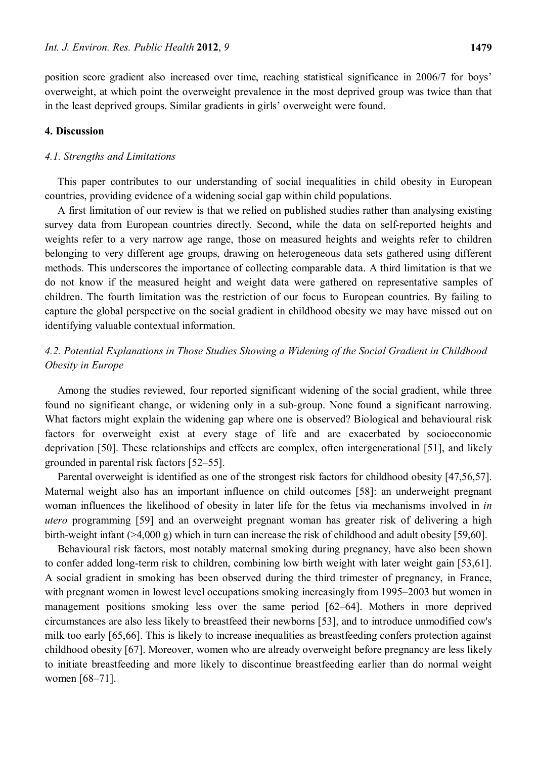position score gradient also increased over time, reaching statistical significance in 2006/7 for boys' overweight, at which point the overweight prevalence in the most deprived group was twice than that in the least deprived groups. Similar gradients in girls' overweight were found.

## **4. Discussion**

#### *4.1. Strengths and Limitations*

This paper contributes to our understanding of social inequalities in child obesity in European countries, providing evidence of a widening social gap within child populations.

A first limitation of our review is that we relied on published studies rather than analysing existing survey data from European countries directly. Second, while the data on self-reported heights and weights refer to a very narrow age range, those on measured heights and weights refer to children belonging to very different age groups, drawing on heterogeneous data sets gathered using different methods. This underscores the importance of collecting comparable data. A third limitation is that we do not know if the measured height and weight data were gathered on representative samples of children. The fourth limitation was the restriction of our focus to European countries. By failing to capture the global perspective on the social gradient in childhood obesity we may have missed out on identifying valuable contextual information.

# *4.2. Potential Explanations in Those Studies Showing a Widening of the Social Gradient in Childhood Obesity in Europe*

Among the studies reviewed, four reported significant widening of the social gradient, while three found no significant change, or widening only in a sub-group. None found a significant narrowing. What factors might explain the widening gap where one is observed? Biological and behavioural risk factors for overweight exist at every stage of life and are exacerbated by socioeconomic deprivation [50]. These relationships and effects are complex, often intergenerational [51], and likely grounded in parental risk factors [52–55].

Parental overweight is identified as one of the strongest risk factors for childhood obesity [47,56,57]. Maternal weight also has an important influence on child outcomes [58]: an underweight pregnant woman influences the likelihood of obesity in later life for the fetus via mechanisms involved in *in utero* programming [59] and an overweight pregnant woman has greater risk of delivering a high birth-weight infant (>4,000 g) which in turn can increase the risk of childhood and adult obesity [59,60].

Behavioural risk factors, most notably maternal smoking during pregnancy, have also been shown to confer added long-term risk to children, combining low birth weight with later weight gain [53,61]. A social gradient in smoking has been observed during the third trimester of pregnancy, in France, with pregnant women in lowest level occupations smoking increasingly from 1995–2003 but women in management positions smoking less over the same period [62–64]. Mothers in more deprived circumstances are also less likely to breastfeed their newborns [53], and to introduce unmodified cow's milk too early [65,66]. This is likely to increase inequalities as breastfeeding confers protection against childhood obesity [67]. Moreover, women who are already overweight before pregnancy are less likely to initiate breastfeeding and more likely to discontinue breastfeeding earlier than do normal weight women [68–71].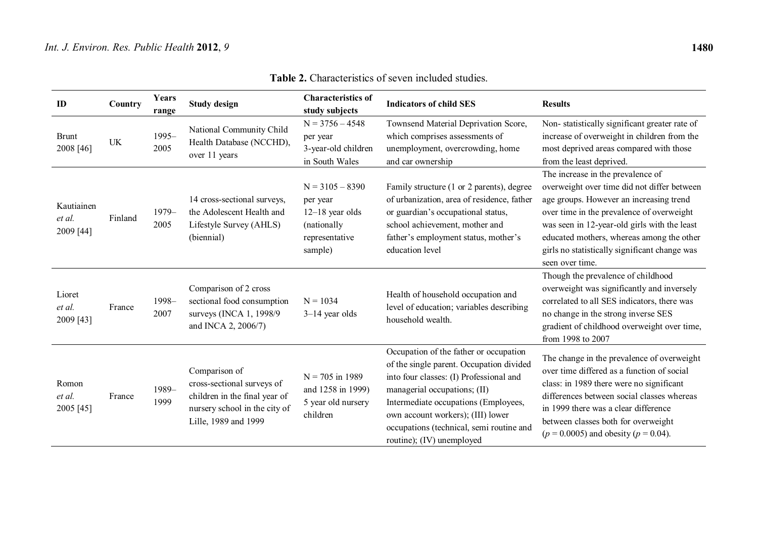| ID                                | Country   | <b>Years</b><br>range | <b>Study design</b>                                                                                                                   | <b>Characteristics of</b><br>study subjects                                                    | <b>Indicators of child SES</b>                                                                                                                                                                                                                                                                                      | <b>Results</b>                                                                                                                                                                                                                                                                                                                            |
|-----------------------------------|-----------|-----------------------|---------------------------------------------------------------------------------------------------------------------------------------|------------------------------------------------------------------------------------------------|---------------------------------------------------------------------------------------------------------------------------------------------------------------------------------------------------------------------------------------------------------------------------------------------------------------------|-------------------------------------------------------------------------------------------------------------------------------------------------------------------------------------------------------------------------------------------------------------------------------------------------------------------------------------------|
| <b>Brunt</b><br>2008 [46]         | <b>UK</b> | $1995 -$<br>2005      | National Community Child<br>Health Database (NCCHD),<br>over 11 years                                                                 | $N = 3756 - 4548$<br>per year<br>3-year-old children<br>in South Wales                         | Townsend Material Deprivation Score,<br>which comprises assessments of<br>unemployment, overcrowding, home<br>and car ownership                                                                                                                                                                                     | Non-statistically significant greater rate of<br>increase of overweight in children from the<br>most deprived areas compared with those<br>from the least deprived.                                                                                                                                                                       |
| Kautiainen<br>et al.<br>2009 [44] | Finland   | $1979-$<br>2005       | 14 cross-sectional surveys,<br>the Adolescent Health and<br>Lifestyle Survey (AHLS)<br>(biennial)                                     | $N = 3105 - 8390$<br>per year<br>$12-18$ year olds<br>(nationally<br>representative<br>sample) | Family structure (1 or 2 parents), degree<br>of urbanization, area of residence, father<br>or guardian's occupational status,<br>school achievement, mother and<br>father's employment status, mother's<br>education level                                                                                          | The increase in the prevalence of<br>overweight over time did not differ between<br>age groups. However an increasing trend<br>over time in the prevalence of overweight<br>was seen in 12-year-old girls with the least<br>educated mothers, whereas among the other<br>girls no statistically significant change was<br>seen over time. |
| Lioret<br>et al.<br>2009 [43]     | France    | 1998-<br>2007         | Comparison of 2 cross<br>sectional food consumption<br>surveys (INCA 1, 1998/9<br>and INCA 2, 2006/7)                                 | $N = 1034$<br>$3-14$ year olds                                                                 | Health of household occupation and<br>level of education; variables describing<br>household wealth.                                                                                                                                                                                                                 | Though the prevalence of childhood<br>overweight was significantly and inversely<br>correlated to all SES indicators, there was<br>no change in the strong inverse SES<br>gradient of childhood overweight over time,<br>from 1998 to 2007                                                                                                |
| Romon<br>et al.<br>2005 [45]      | France    | 1989-<br>1999         | Comparison of<br>cross-sectional surveys of<br>children in the final year of<br>nursery school in the city of<br>Lille, 1989 and 1999 | $N = 705$ in 1989<br>and 1258 in 1999)<br>5 year old nursery<br>children                       | Occupation of the father or occupation<br>of the single parent. Occupation divided<br>into four classes: (I) Professional and<br>managerial occupations; (II)<br>Intermediate occupations (Employees,<br>own account workers); (III) lower<br>occupations (technical, semi routine and<br>routine); (IV) unemployed | The change in the prevalence of overweight<br>over time differed as a function of social<br>class: in 1989 there were no significant<br>differences between social classes whereas<br>in 1999 there was a clear difference<br>between classes both for overweight<br>$(p = 0.0005)$ and obesity $(p = 0.04)$ .                            |

**Table 2.** Characteristics of seven included studies.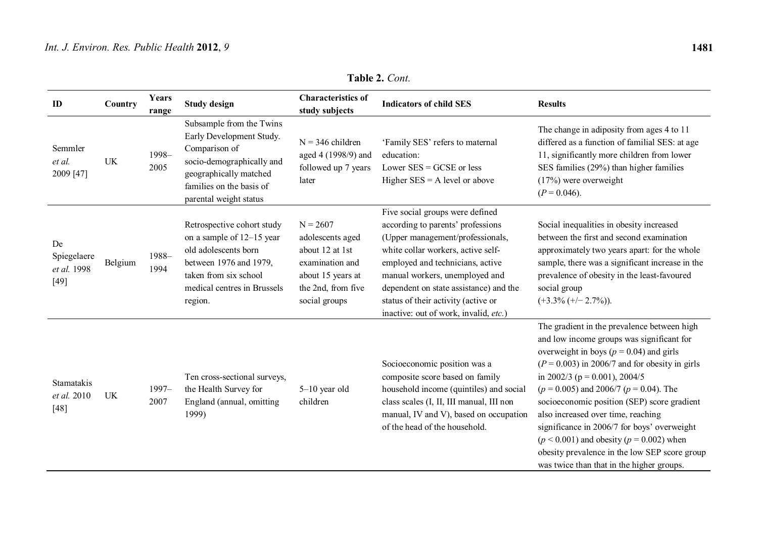| ID                                         | Country   | Years<br>range | <b>Study design</b>                                                                                                                                                                | <b>Characteristics of</b><br>study subjects                                                                                      | <b>Indicators of child SES</b>                                                                                                                                                                                                                                                                                                                 | <b>Results</b>                                                                                                                                                                                                                                                                                                                                                                                                                                                                                                                                                    |
|--------------------------------------------|-----------|----------------|------------------------------------------------------------------------------------------------------------------------------------------------------------------------------------|----------------------------------------------------------------------------------------------------------------------------------|------------------------------------------------------------------------------------------------------------------------------------------------------------------------------------------------------------------------------------------------------------------------------------------------------------------------------------------------|-------------------------------------------------------------------------------------------------------------------------------------------------------------------------------------------------------------------------------------------------------------------------------------------------------------------------------------------------------------------------------------------------------------------------------------------------------------------------------------------------------------------------------------------------------------------|
| Semmler<br>et al.<br>2009 [47]             | <b>UK</b> | 1998-<br>2005  | Subsample from the Twins<br>Early Development Study.<br>Comparison of<br>socio-demographically and<br>geographically matched<br>families on the basis of<br>parental weight status | $N = 346$ children<br>aged 4 (1998/9) and<br>followed up 7 years<br>later                                                        | 'Family SES' refers to maternal<br>education:<br>Lower $SES = GCSE$ or less<br>Higher $SES = A$ level or above                                                                                                                                                                                                                                 | The change in adiposity from ages 4 to 11<br>differed as a function of familial SES: at age<br>11, significantly more children from lower<br>SES families (29%) than higher families<br>$(17%)$ were overweight<br>$(P = 0.046)$ .                                                                                                                                                                                                                                                                                                                                |
| De<br>Spiegelaere<br>et al. 1998<br>$[49]$ | Belgium   | 1988-<br>1994  | Retrospective cohort study<br>on a sample of 12–15 year<br>old adolescents born<br>between 1976 and 1979,<br>taken from six school<br>medical centres in Brussels<br>region.       | $N = 2607$<br>adolescents aged<br>about 12 at 1st<br>examination and<br>about 15 years at<br>the 2nd, from five<br>social groups | Five social groups were defined<br>according to parents' professions<br>(Upper management/professionals,<br>white collar workers, active self-<br>employed and technicians, active<br>manual workers, unemployed and<br>dependent on state assistance) and the<br>status of their activity (active or<br>inactive: out of work, invalid, etc.) | Social inequalities in obesity increased<br>between the first and second examination<br>approximately two years apart: for the whole<br>sample, there was a significant increase in the<br>prevalence of obesity in the least-favoured<br>social group<br>$(+3.3\% (+/- 2.7\%)).$                                                                                                                                                                                                                                                                                 |
| Stamatakis<br>et al. 2010<br>$[48]$        | UK        | 1997-<br>2007  | Ten cross-sectional surveys,<br>the Health Survey for<br>England (annual, omitting<br>1999)                                                                                        | $5-10$ year old<br>children                                                                                                      | Socioeconomic position was a<br>composite score based on family<br>household income (quintiles) and social<br>class scales (I, II, III manual, III non<br>manual, IV and V), based on occupation<br>of the head of the household.                                                                                                              | The gradient in the prevalence between high<br>and low income groups was significant for<br>overweight in boys ( $p = 0.04$ ) and girls<br>$(P = 0.003)$ in 2006/7 and for obesity in girls<br>in 2002/3 ( $p = 0.001$ ), 2004/5<br>$(p = 0.005)$ and 2006/7 $(p = 0.04)$ . The<br>socioeconomic position (SEP) score gradient<br>also increased over time, reaching<br>significance in 2006/7 for boys' overweight<br>$(p < 0.001)$ and obesity $(p = 0.002)$ when<br>obesity prevalence in the low SEP score group<br>was twice than that in the higher groups. |

**Table 2.** *Cont.*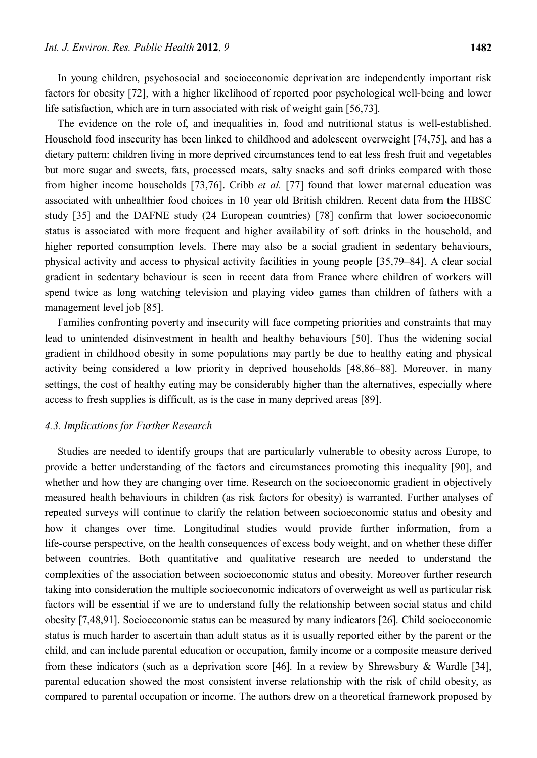In young children, psychosocial and socioeconomic deprivation are independently important risk factors for obesity [72], with a higher likelihood of reported poor psychological well-being and lower life satisfaction, which are in turn associated with risk of weight gain [56,73].

The evidence on the role of, and inequalities in, food and nutritional status is well-established. Household food insecurity has been linked to childhood and adolescent overweight [74,75], and has a dietary pattern: children living in more deprived circumstances tend to eat less fresh fruit and vegetables but more sugar and sweets, fats, processed meats, salty snacks and soft drinks compared with those from higher income households [73,76]. Cribb *et al.* [77] found that lower maternal education was associated with unhealthier food choices in 10 year old British children. Recent data from the HBSC study [35] and the DAFNE study (24 European countries) [78] confirm that lower socioeconomic status is associated with more frequent and higher availability of soft drinks in the household, and higher reported consumption levels. There may also be a social gradient in sedentary behaviours, physical activity and access to physical activity facilities in young people [35,79–84]. A clear social gradient in sedentary behaviour is seen in recent data from France where children of workers will spend twice as long watching television and playing video games than children of fathers with a management level job [85].

Families confronting poverty and insecurity will face competing priorities and constraints that may lead to unintended disinvestment in health and healthy behaviours [50]. Thus the widening social gradient in childhood obesity in some populations may partly be due to healthy eating and physical activity being considered a low priority in deprived households [48,86–88]. Moreover, in many settings, the cost of healthy eating may be considerably higher than the alternatives, especially where access to fresh supplies is difficult, as is the case in many deprived areas [89].

#### *4.3. Implications for Further Research*

Studies are needed to identify groups that are particularly vulnerable to obesity across Europe, to provide a better understanding of the factors and circumstances promoting this inequality [90], and whether and how they are changing over time. Research on the socioeconomic gradient in objectively measured health behaviours in children (as risk factors for obesity) is warranted. Further analyses of repeated surveys will continue to clarify the relation between socioeconomic status and obesity and how it changes over time. Longitudinal studies would provide further information, from a life-course perspective, on the health consequences of excess body weight, and on whether these differ between countries. Both quantitative and qualitative research are needed to understand the complexities of the association between socioeconomic status and obesity. Moreover further research taking into consideration the multiple socioeconomic indicators of overweight as well as particular risk factors will be essential if we are to understand fully the relationship between social status and child obesity [7,48,91]. Socioeconomic status can be measured by many indicators [26]. Child socioeconomic status is much harder to ascertain than adult status as it is usually reported either by the parent or the child, and can include parental education or occupation, family income or a composite measure derived from these indicators (such as a deprivation score [46]. In a review by Shrewsbury & Wardle [34], parental education showed the most consistent inverse relationship with the risk of child obesity, as compared to parental occupation or income. The authors drew on a theoretical framework proposed by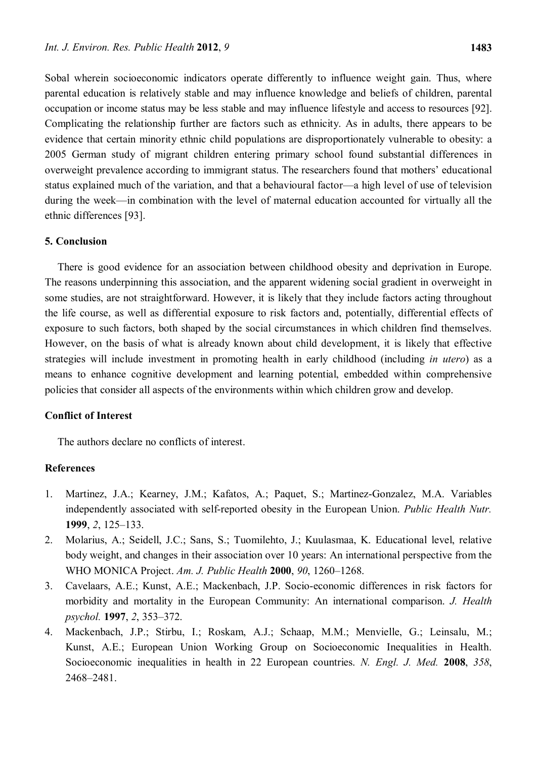Sobal wherein socioeconomic indicators operate differently to influence weight gain. Thus, where parental education is relatively stable and may influence knowledge and beliefs of children, parental occupation or income status may be less stable and may influence lifestyle and access to resources [92]. Complicating the relationship further are factors such as ethnicity. As in adults, there appears to be evidence that certain minority ethnic child populations are disproportionately vulnerable to obesity: a 2005 German study of migrant children entering primary school found substantial differences in overweight prevalence according to immigrant status. The researchers found that mothers' educational status explained much of the variation, and that a behavioural factor—a high level of use of television during the week—in combination with the level of maternal education accounted for virtually all the ethnic differences [93].

#### **5. Conclusion**

There is good evidence for an association between childhood obesity and deprivation in Europe. The reasons underpinning this association, and the apparent widening social gradient in overweight in some studies, are not straightforward. However, it is likely that they include factors acting throughout the life course, as well as differential exposure to risk factors and, potentially, differential effects of exposure to such factors, both shaped by the social circumstances in which children find themselves. However, on the basis of what is already known about child development, it is likely that effective strategies will include investment in promoting health in early childhood (including *in utero*) as a means to enhance cognitive development and learning potential, embedded within comprehensive policies that consider all aspects of the environments within which children grow and develop.

# **Conflict of Interest**

The authors declare no conflicts of interest.

# **References**

- 1. Martinez, J.A.; Kearney, J.M.; Kafatos, A.; Paquet, S.; Martinez-Gonzalez, M.A. Variables independently associated with self-reported obesity in the European Union. *Public Health Nutr.* **1999**, *2*, 125–133.
- 2. Molarius, A.; Seidell, J.C.; Sans, S.; Tuomilehto, J.; Kuulasmaa, K. Educational level, relative body weight, and changes in their association over 10 years: An international perspective from the WHO MONICA Project. *Am. J. Public Health* **2000**, *90*, 1260–1268.
- 3. Cavelaars, A.E.; Kunst, A.E.; Mackenbach, J.P. Socio-economic differences in risk factors for morbidity and mortality in the European Community: An international comparison. *J. Health psychol.* **1997**, *2*, 353–372.
- 4. Mackenbach, J.P.; Stirbu, I.; Roskam, A.J.; Schaap, M.M.; Menvielle, G.; Leinsalu, M.; Kunst, A.E.; European Union Working Group on Socioeconomic Inequalities in Health. Socioeconomic inequalities in health in 22 European countries. *N. Engl. J. Med.* **2008**, *358*, 2468–2481.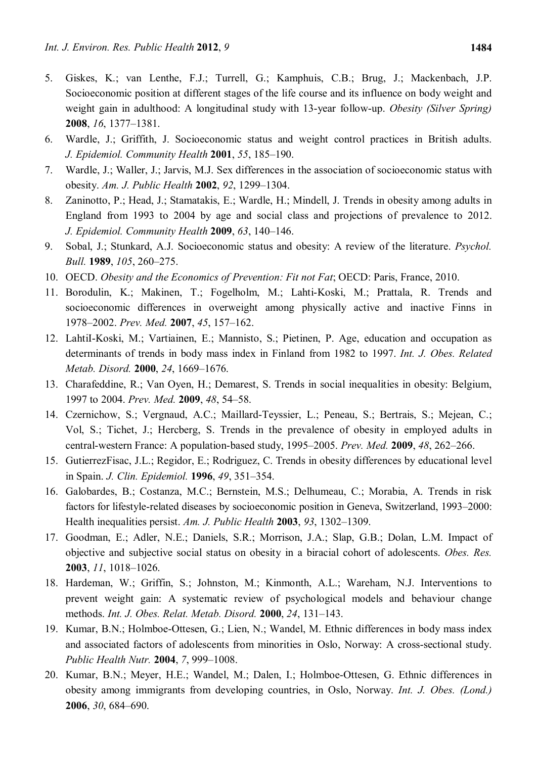- 5. Giskes, K.; van Lenthe, F.J.; Turrell, G.; Kamphuis, C.B.; Brug, J.; Mackenbach, J.P. Socioeconomic position at different stages of the life course and its influence on body weight and weight gain in adulthood: A longitudinal study with 13-year follow-up. *Obesity (Silver Spring)* **2008**, *16*, 1377–1381.
- 6. Wardle, J.; Griffith, J. Socioeconomic status and weight control practices in British adults. *J. Epidemiol. Community Health* **2001**, *55*, 185–190.
- 7. Wardle, J.; Waller, J.; Jarvis, M.J. Sex differences in the association of socioeconomic status with obesity. *Am. J. Public Health* **2002**, *92*, 1299–1304.
- 8. Zaninotto, P.; Head, J.; Stamatakis, E.; Wardle, H.; Mindell, J. Trends in obesity among adults in England from 1993 to 2004 by age and social class and projections of prevalence to 2012. *J. Epidemiol. Community Health* **2009**, *63*, 140–146.
- 9. Sobal, J.; Stunkard, A.J. Socioeconomic status and obesity: A review of the literature. *Psychol. Bull.* **1989**, *105*, 260–275.
- 10. OECD. *Obesity and the Economics of Prevention: Fit not Fat*; OECD: Paris, France, 2010.
- 11. Borodulin, K.; Makinen, T.; Fogelholm, M.; Lahti-Koski, M.; Prattala, R. Trends and socioeconomic differences in overweight among physically active and inactive Finns in 1978–2002. *Prev. Med.* **2007**, *45*, 157–162.
- 12. LahtiI-Koski, M.; Vartiainen, E.; Mannisto, S.; Pietinen, P. Age, education and occupation as determinants of trends in body mass index in Finland from 1982 to 1997. *Int. J. Obes. Related Metab. Disord.* **2000**, *24*, 1669–1676.
- 13. Charafeddine, R.; Van Oyen, H.; Demarest, S. Trends in social inequalities in obesity: Belgium, 1997 to 2004. *Prev. Med.* **2009**, *48*, 54–58.
- 14. Czernichow, S.; Vergnaud, A.C.; Maillard-Teyssier, L.; Peneau, S.; Bertrais, S.; Mejean, C.; Vol, S.; Tichet, J.; Hercberg, S. Trends in the prevalence of obesity in employed adults in central-western France: A population-based study, 1995–2005. *Prev. Med.* **2009**, *48*, 262–266.
- 15. GutierrezFisac, J.L.; Regidor, E.; Rodriguez, C. Trends in obesity differences by educational level in Spain. *J. Clin. Epidemiol.* **1996**, *49*, 351–354.
- 16. Galobardes, B.; Costanza, M.C.; Bernstein, M.S.; Delhumeau, C.; Morabia, A. Trends in risk factors for lifestyle-related diseases by socioeconomic position in Geneva, Switzerland, 1993–2000: Health inequalities persist. *Am. J. Public Health* **2003**, *93*, 1302–1309.
- 17. Goodman, E.; Adler, N.E.; Daniels, S.R.; Morrison, J.A.; Slap, G.B.; Dolan, L.M. Impact of objective and subjective social status on obesity in a biracial cohort of adolescents. *Obes. Res.* **2003**, *11*, 1018–1026.
- 18. Hardeman, W.; Griffin, S.; Johnston, M.; Kinmonth, A.L.; Wareham, N.J. Interventions to prevent weight gain: A systematic review of psychological models and behaviour change methods. *Int. J. Obes. Relat. Metab. Disord.* **2000**, *24*, 131–143.
- 19. Kumar, B.N.; Holmboe-Ottesen, G.; Lien, N.; Wandel, M. Ethnic differences in body mass index and associated factors of adolescents from minorities in Oslo, Norway: A cross-sectional study. *Public Health Nutr.* **2004**, *7*, 999–1008.
- 20. Kumar, B.N.; Meyer, H.E.; Wandel, M.; Dalen, I.; Holmboe-Ottesen, G. Ethnic differences in obesity among immigrants from developing countries, in Oslo, Norway. *Int. J. Obes. (Lond.)* **2006**, *30*, 684–690.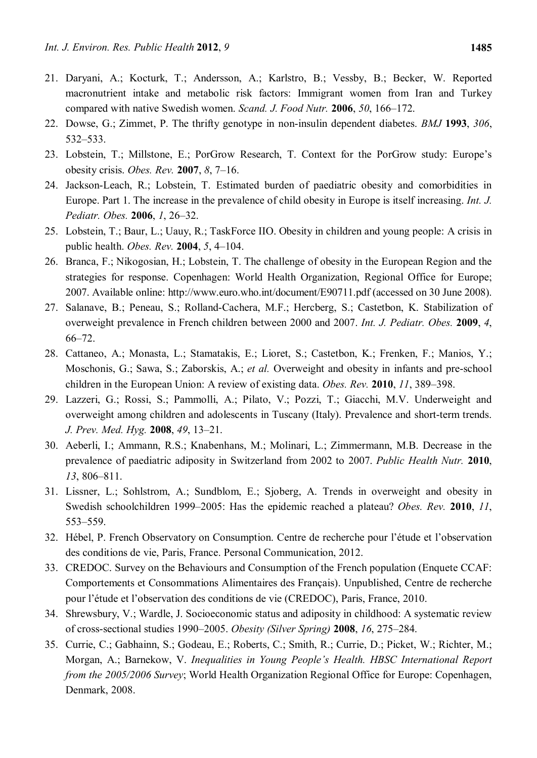- 21. Daryani, A.; Kocturk, T.; Andersson, A.; Karlstro, B.; Vessby, B.; Becker, W. Reported macronutrient intake and metabolic risk factors: Immigrant women from Iran and Turkey compared with native Swedish women. *Scand. J. Food Nutr.* **2006**, *50*, 166–172.
- 22. Dowse, G.; Zimmet, P. The thrifty genotype in non-insulin dependent diabetes. *BMJ* **1993**, *306*, 532–533.
- 23. Lobstein, T.; Millstone, E.; PorGrow Research, T. Context for the PorGrow study: Europe's obesity crisis. *Obes. Rev.* **2007**, *8*, 7–16.
- 24. Jackson-Leach, R.; Lobstein, T. Estimated burden of paediatric obesity and comorbidities in Europe. Part 1. The increase in the prevalence of child obesity in Europe is itself increasing. *Int. J. Pediatr. Obes.* **2006**, *1*, 26–32.
- 25. Lobstein, T.; Baur, L.; Uauy, R.; TaskForce IIO. Obesity in children and young people: A crisis in public health. *Obes. Rev.* **2004**, *5*, 4–104.
- 26. Branca, F.; Nikogosian, H.; Lobstein, T. The challenge of obesity in the European Region and the strategies for response. Copenhagen: World Health Organization, Regional Office for Europe; 2007. Available online: http://www.euro.who.int/document/E90711.pdf (accessed on 30 June 2008).
- 27. Salanave, B.; Peneau, S.; Rolland-Cachera, M.F.; Hercberg, S.; Castetbon, K. Stabilization of overweight prevalence in French children between 2000 and 2007. *Int. J. Pediatr. Obes.* **2009**, *4*, 66–72.
- 28. Cattaneo, A.; Monasta, L.; Stamatakis, E.; Lioret, S.; Castetbon, K.; Frenken, F.; Manios, Y.; Moschonis, G.; Sawa, S.; Zaborskis, A.; *et al.* Overweight and obesity in infants and pre-school children in the European Union: A review of existing data. *Obes. Rev.* **2010**, *11*, 389–398.
- 29. Lazzeri, G.; Rossi, S.; Pammolli, A.; Pilato, V.; Pozzi, T.; Giacchi, M.V. Underweight and overweight among children and adolescents in Tuscany (Italy). Prevalence and short-term trends. *J. Prev. Med. Hyg.* **2008**, *49*, 13–21.
- 30. Aeberli, I.; Ammann, R.S.; Knabenhans, M.; Molinari, L.; Zimmermann, M.B. Decrease in the prevalence of paediatric adiposity in Switzerland from 2002 to 2007. *Public Health Nutr.* **2010**, *13*, 806–811.
- 31. Lissner, L.; Sohlstrom, A.; Sundblom, E.; Sjoberg, A. Trends in overweight and obesity in Swedish schoolchildren 1999–2005: Has the epidemic reached a plateau? *Obes. Rev.* **2010**, *11*, 553–559.
- 32. Hébel, P. French Observatory on Consumption. Centre de recherche pour l'étude et l'observation des conditions de vie, Paris, France. Personal Communication, 2012.
- 33. CREDOC. Survey on the Behaviours and Consumption of the French population (Enquete CCAF: Comportements et Consommations Alimentaires des Français). Unpublished, Centre de recherche pour l'étude et l'observation des conditions de vie (CREDOC), Paris, France, 2010.
- 34. Shrewsbury, V.; Wardle, J. Socioeconomic status and adiposity in childhood: A systematic review of cross-sectional studies 1990–2005. *Obesity (Silver Spring)* **2008**, *16*, 275–284.
- 35. Currie, C.; Gabhainn, S.; Godeau, E.; Roberts, C.; Smith, R.; Currie, D.; Picket, W.; Richter, M.; Morgan, A.; Barnekow, V. *Inequalities in Young People's Health. HBSC International Report from the 2005/2006 Survey*; World Health Organization Regional Office for Europe: Copenhagen, Denmark, 2008.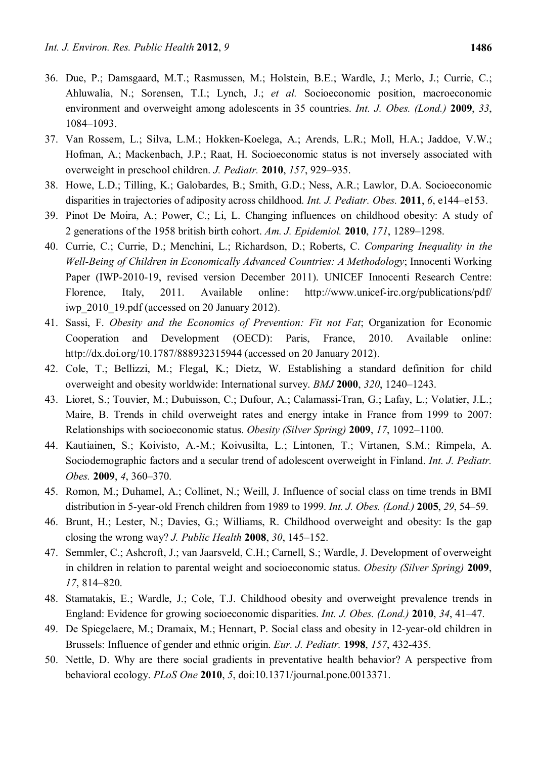- 36. Due, P.; Damsgaard, M.T.; Rasmussen, M.; Holstein, B.E.; Wardle, J.; Merlo, J.; Currie, C.; Ahluwalia, N.; Sorensen, T.I.; Lynch, J.; *et al.* Socioeconomic position, macroeconomic environment and overweight among adolescents in 35 countries. *Int. J. Obes. (Lond.)* **2009**, *33*, 1084–1093.
- 37. Van Rossem, L.; Silva, L.M.; Hokken-Koelega, A.; Arends, L.R.; Moll, H.A.; Jaddoe, V.W.; Hofman, A.; Mackenbach, J.P.; Raat, H. Socioeconomic status is not inversely associated with overweight in preschool children. *J. Pediatr.* **2010**, *157*, 929–935.
- 38. Howe, L.D.; Tilling, K.; Galobardes, B.; Smith, G.D.; Ness, A.R.; Lawlor, D.A. Socioeconomic disparities in trajectories of adiposity across childhood. *Int. J. Pediatr. Obes.* **2011**, *6*, e144–e153.
- 39. Pinot De Moira, A.; Power, C.; Li, L. Changing influences on childhood obesity: A study of 2 generations of the 1958 british birth cohort. *Am. J. Epidemiol.* **2010**, *171*, 1289–1298.
- 40. Currie, C.; Currie, D.; Menchini, L.; Richardson, D.; Roberts, C. *Comparing Inequality in the Well-Being of Children in Economically Advanced Countries: A Methodology*; Innocenti Working Paper (IWP-2010-19, revised version December 2011). UNICEF Innocenti Research Centre: Florence, Italy, 2011. Available online: http://www.unicef-irc.org/publications/pdf/ iwp\_2010\_19.pdf (accessed on 20 January 2012).
- 41. Sassi, F. *Obesity and the Economics of Prevention: Fit not Fat*; Organization for Economic Cooperation and Development (OECD): Paris, France, 2010. Available online: http://dx.doi.org/10.1787/888932315944 (accessed on 20 January 2012).
- 42. Cole, T.; Bellizzi, M.; Flegal, K.; Dietz, W. Establishing a standard definition for child overweight and obesity worldwide: International survey. *BMJ* **2000**, *320*, 1240–1243.
- 43. Lioret, S.; Touvier, M.; Dubuisson, C.; Dufour, A.; Calamassi-Tran, G.; Lafay, L.; Volatier, J.L.; Maire, B. Trends in child overweight rates and energy intake in France from 1999 to 2007: Relationships with socioeconomic status. *Obesity (Silver Spring)* **2009**, *17*, 1092–1100.
- 44. Kautiainen, S.; Koivisto, A.-M.; Koivusilta, L.; Lintonen, T.; Virtanen, S.M.; Rimpela, A. Sociodemographic factors and a secular trend of adolescent overweight in Finland. *Int. J. Pediatr. Obes.* **2009**, *4*, 360–370.
- 45. Romon, M.; Duhamel, A.; Collinet, N.; Weill, J. Influence of social class on time trends in BMI distribution in 5-year-old French children from 1989 to 1999. *Int. J. Obes. (Lond.)* **2005**, *29*, 54–59.
- 46. Brunt, H.; Lester, N.; Davies, G.; Williams, R. Childhood overweight and obesity: Is the gap closing the wrong way? *J. Public Health* **2008**, *30*, 145–152.
- 47. Semmler, C.; Ashcroft, J.; van Jaarsveld, C.H.; Carnell, S.; Wardle, J. Development of overweight in children in relation to parental weight and socioeconomic status. *Obesity (Silver Spring)* **2009**, *17*, 814–820.
- 48. Stamatakis, E.; Wardle, J.; Cole, T.J. Childhood obesity and overweight prevalence trends in England: Evidence for growing socioeconomic disparities. *Int. J. Obes. (Lond.)* **2010**, *34*, 41–47.
- 49. De Spiegelaere, M.; Dramaix, M.; Hennart, P. Social class and obesity in 12-year-old children in Brussels: Influence of gender and ethnic origin. *Eur. J. Pediatr.* **1998**, *157*, 432-435.
- 50. Nettle, D. Why are there social gradients in preventative health behavior? A perspective from behavioral ecology. *PLoS One* **2010**, *5*, doi:10.1371/journal.pone.0013371.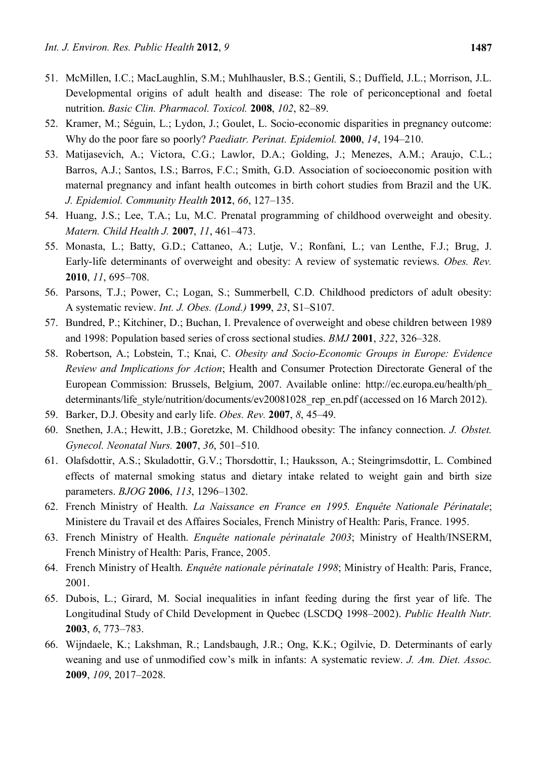- 51. McMillen, I.C.; MacLaughlin, S.M.; Muhlhausler, B.S.; Gentili, S.; Duffield, J.L.; Morrison, J.L. Developmental origins of adult health and disease: The role of periconceptional and foetal nutrition. *Basic Clin. Pharmacol. Toxicol.* **2008**, *102*, 82–89.
- 52. Kramer, M.; Séguin, L.; Lydon, J.; Goulet, L. Socio-economic disparities in pregnancy outcome: Why do the poor fare so poorly? *Paediatr. Perinat. Epidemiol.* **2000**, *14*, 194–210.
- 53. Matijasevich, A.; Victora, C.G.; Lawlor, D.A.; Golding, J.; Menezes, A.M.; Araujo, C.L.; Barros, A.J.; Santos, I.S.; Barros, F.C.; Smith, G.D. Association of socioeconomic position with maternal pregnancy and infant health outcomes in birth cohort studies from Brazil and the UK. *J. Epidemiol. Community Health* **2012**, *66*, 127–135.
- 54. Huang, J.S.; Lee, T.A.; Lu, M.C. Prenatal programming of childhood overweight and obesity. *Matern. Child Health J.* **2007**, *11*, 461–473.
- 55. Monasta, L.; Batty, G.D.; Cattaneo, A.; Lutje, V.; Ronfani, L.; van Lenthe, F.J.; Brug, J. Early-life determinants of overweight and obesity: A review of systematic reviews. *Obes. Rev.* **2010**, *11*, 695–708.
- 56. Parsons, T.J.; Power, C.; Logan, S.; Summerbell, C.D. Childhood predictors of adult obesity: A systematic review. *Int. J. Obes. (Lond.)* **1999**, *23*, S1–S107.
- 57. Bundred, P.; Kitchiner, D.; Buchan, I. Prevalence of overweight and obese children between 1989 and 1998: Population based series of cross sectional studies. *BMJ* **2001**, *322*, 326–328.
- 58. Robertson, A.; Lobstein, T.; Knai, C. *Obesity and Socio-Economic Groups in Europe: Evidence Review and Implications for Action*; Health and Consumer Protection Directorate General of the European Commission: Brussels, Belgium, 2007. Available online: http://ec.europa.eu/health/ph\_ determinants/life\_style/nutrition/documents/ev20081028\_rep\_en.pdf (accessed on 16 March 2012).
- 59. Barker, D.J. Obesity and early life. *Obes. Rev.* **2007**, *8*, 45–49.
- 60. Snethen, J.A.; Hewitt, J.B.; Goretzke, M. Childhood obesity: The infancy connection. *J. Obstet. Gynecol. Neonatal Nurs.* **2007**, *36*, 501–510.
- 61. Olafsdottir, A.S.; Skuladottir, G.V.; Thorsdottir, I.; Hauksson, A.; Steingrimsdottir, L. Combined effects of maternal smoking status and dietary intake related to weight gain and birth size parameters. *BJOG* **2006**, *113*, 1296–1302.
- 62. French Ministry of Health. *La Naissance en France en 1995. Enquête Nationale Périnatale*; Ministere du Travail et des Affaires Sociales, French Ministry of Health: Paris, France. 1995.
- 63. French Ministry of Health. *Enquête nationale périnatale 2003*; Ministry of Health/INSERM, French Ministry of Health: Paris, France, 2005.
- 64. French Ministry of Health. *Enquête nationale périnatale 1998*; Ministry of Health: Paris, France, 2001.
- 65. Dubois, L.; Girard, M. Social inequalities in infant feeding during the first year of life. The Longitudinal Study of Child Development in Quebec (LSCDQ 1998–2002). *Public Health Nutr.* **2003**, *6*, 773–783.
- 66. Wijndaele, K.; Lakshman, R.; Landsbaugh, J.R.; Ong, K.K.; Ogilvie, D. Determinants of early weaning and use of unmodified cow's milk in infants: A systematic review. *J. Am. Diet. Assoc.* **2009**, *109*, 2017–2028.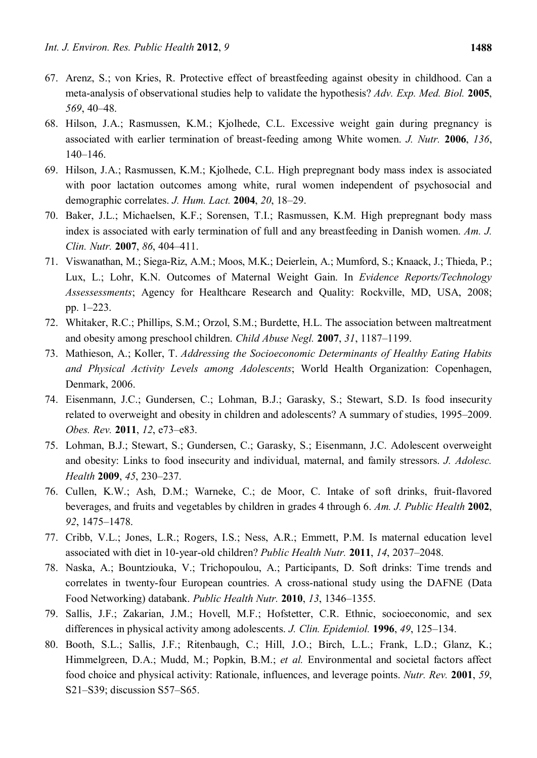- 67. Arenz, S.; von Kries, R. Protective effect of breastfeeding against obesity in childhood. Can a meta-analysis of observational studies help to validate the hypothesis? *Adv. Exp. Med. Biol.* **2005**, *569*, 40–48.
- 68. Hilson, J.A.; Rasmussen, K.M.; Kjolhede, C.L. Excessive weight gain during pregnancy is associated with earlier termination of breast-feeding among White women. *J. Nutr.* **2006**, *136*, 140–146.
- 69. Hilson, J.A.; Rasmussen, K.M.; Kjolhede, C.L. High prepregnant body mass index is associated with poor lactation outcomes among white, rural women independent of psychosocial and demographic correlates. *J. Hum. Lact.* **2004**, *20*, 18–29.
- 70. Baker, J.L.; Michaelsen, K.F.; Sorensen, T.I.; Rasmussen, K.M. High prepregnant body mass index is associated with early termination of full and any breastfeeding in Danish women. *Am. J. Clin. Nutr.* **2007**, *86*, 404–411.
- 71. Viswanathan, M.; Siega-Riz, A.M.; Moos, M.K.; Deierlein, A.; Mumford, S.; Knaack, J.; Thieda, P.; Lux, L.; Lohr, K.N. Outcomes of Maternal Weight Gain. In *Evidence Reports/Technology Assessessments*; Agency for Healthcare Research and Quality: Rockville, MD, USA, 2008; pp. 1–223.
- 72. Whitaker, R.C.; Phillips, S.M.; Orzol, S.M.; Burdette, H.L. The association between maltreatment and obesity among preschool children. *Child Abuse Negl.* **2007**, *31*, 1187–1199.
- 73. Mathieson, A.; Koller, T. *Addressing the Socioeconomic Determinants of Healthy Eating Habits and Physical Activity Levels among Adolescents*; World Health Organization: Copenhagen, Denmark, 2006.
- 74. Eisenmann, J.C.; Gundersen, C.; Lohman, B.J.; Garasky, S.; Stewart, S.D. Is food insecurity related to overweight and obesity in children and adolescents? A summary of studies, 1995–2009. *Obes. Rev.* **2011**, *12*, e73–e83.
- 75. Lohman, B.J.; Stewart, S.; Gundersen, C.; Garasky, S.; Eisenmann, J.C. Adolescent overweight and obesity: Links to food insecurity and individual, maternal, and family stressors. *J. Adolesc. Health* **2009**, *45*, 230–237.
- 76. Cullen, K.W.; Ash, D.M.; Warneke, C.; de Moor, C. Intake of soft drinks, fruit-flavored beverages, and fruits and vegetables by children in grades 4 through 6. *Am. J. Public Health* **2002**, *92*, 1475–1478.
- 77. Cribb, V.L.; Jones, L.R.; Rogers, I.S.; Ness, A.R.; Emmett, P.M. Is maternal education level associated with diet in 10-year-old children? *Public Health Nutr.* **2011**, *14*, 2037–2048.
- 78. Naska, A.; Bountziouka, V.; Trichopoulou, A.; Participants, D. Soft drinks: Time trends and correlates in twenty-four European countries. A cross-national study using the DAFNE (Data Food Networking) databank. *Public Health Nutr.* **2010**, *13*, 1346–1355.
- 79. Sallis, J.F.; Zakarian, J.M.; Hovell, M.F.; Hofstetter, C.R. Ethnic, socioeconomic, and sex differences in physical activity among adolescents. *J. Clin. Epidemiol.* **1996**, *49*, 125–134.
- 80. Booth, S.L.; Sallis, J.F.; Ritenbaugh, C.; Hill, J.O.; Birch, L.L.; Frank, L.D.; Glanz, K.; Himmelgreen, D.A.; Mudd, M.; Popkin, B.M.; *et al.* Environmental and societal factors affect food choice and physical activity: Rationale, influences, and leverage points. *Nutr. Rev.* **2001**, *59*, S21–S39; discussion S57–S65.